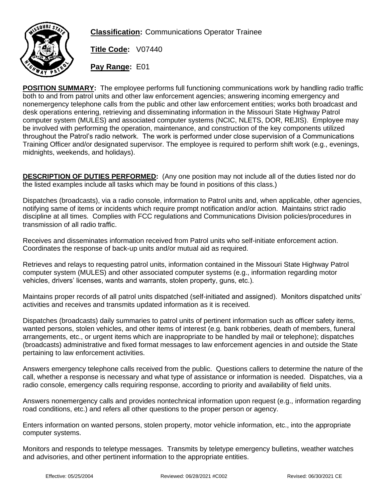

**Classification:** Communications Operator Trainee

**Title Code:** V07440

**Pay Range:** E01

**POSITION SUMMARY:** The employee performs full functioning communications work by handling radio traffic both to and from patrol units and other law enforcement agencies; answering incoming emergency and nonemergency telephone calls from the public and other law enforcement entities; works both broadcast and desk operations entering, retrieving and disseminating information in the Missouri State Highway Patrol computer system (MULES) and associated computer systems (NCIC, NLETS, DOR, REJIS). Employee may be involved with performing the operation, maintenance, and construction of the key components utilized throughout the Patrol's radio network. The work is performed under close supervision of a Communications Training Officer and/or designated supervisor. The employee is required to perform shift work (e.g., evenings, midnights, weekends, and holidays).

**DESCRIPTION OF DUTIES PERFORMED:** (Any one position may not include all of the duties listed nor do the listed examples include all tasks which may be found in positions of this class.)

Dispatches (broadcasts), via a radio console, information to Patrol units and, when applicable, other agencies, notifying same of items or incidents which require prompt notification and/or action. Maintains strict radio discipline at all times. Complies with FCC regulations and Communications Division policies/procedures in transmission of all radio traffic.

Receives and disseminates information received from Patrol units who self-initiate enforcement action. Coordinates the response of back-up units and/or mutual aid as required.

Retrieves and relays to requesting patrol units, information contained in the Missouri State Highway Patrol computer system (MULES) and other associated computer systems (e.g., information regarding motor vehicles, drivers' licenses, wants and warrants, stolen property, guns, etc.).

Maintains proper records of all patrol units dispatched (self-initiated and assigned). Monitors dispatched units' activities and receives and transmits updated information as it is received.

Dispatches (broadcasts) daily summaries to patrol units of pertinent information such as officer safety items, wanted persons, stolen vehicles, and other items of interest (e.g. bank robberies, death of members, funeral arrangements, etc., or urgent items which are inappropriate to be handled by mail or telephone); dispatches (broadcasts) administrative and fixed format messages to law enforcement agencies in and outside the State pertaining to law enforcement activities.

Answers emergency telephone calls received from the public. Questions callers to determine the nature of the call, whether a response is necessary and what type of assistance or information is needed. Dispatches, via a radio console, emergency calls requiring response, according to priority and availability of field units.

Answers nonemergency calls and provides nontechnical information upon request (e.g., information regarding road conditions, etc.) and refers all other questions to the proper person or agency.

Enters information on wanted persons, stolen property, motor vehicle information, etc., into the appropriate computer systems.

Monitors and responds to teletype messages. Transmits by teletype emergency bulletins, weather watches and advisories, and other pertinent information to the appropriate entities.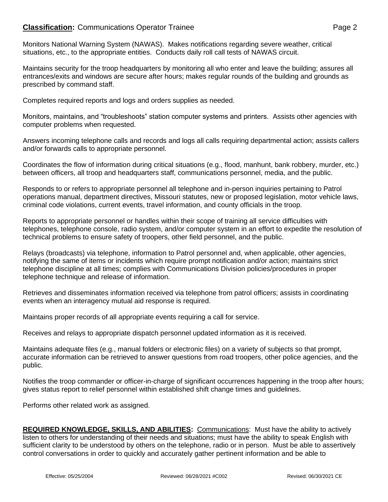# **Classification:** Communications Operator Trainee **Page 2** Page 2

Monitors National Warning System (NAWAS). Makes notifications regarding severe weather, critical situations, etc., to the appropriate entities. Conducts daily roll call tests of NAWAS circuit.

Maintains security for the troop headquarters by monitoring all who enter and leave the building; assures all entrances/exits and windows are secure after hours; makes regular rounds of the building and grounds as prescribed by command staff.

Completes required reports and logs and orders supplies as needed.

Monitors, maintains, and "troubleshoots" station computer systems and printers. Assists other agencies with computer problems when requested.

Answers incoming telephone calls and records and logs all calls requiring departmental action; assists callers and/or forwards calls to appropriate personnel.

Coordinates the flow of information during critical situations (e.g., flood, manhunt, bank robbery, murder, etc.) between officers, all troop and headquarters staff, communications personnel, media, and the public.

Responds to or refers to appropriate personnel all telephone and in-person inquiries pertaining to Patrol operations manual, department directives, Missouri statutes, new or proposed legislation, motor vehicle laws, criminal code violations, current events, travel information, and county officials in the troop.

Reports to appropriate personnel or handles within their scope of training all service difficulties with telephones, telephone console, radio system, and/or computer system in an effort to expedite the resolution of technical problems to ensure safety of troopers, other field personnel, and the public.

Relays (broadcasts) via telephone, information to Patrol personnel and, when applicable, other agencies, notifying the same of items or incidents which require prompt notification and/or action; maintains strict telephone discipline at all times; complies with Communications Division policies/procedures in proper telephone technique and release of information.

Retrieves and disseminates information received via telephone from patrol officers; assists in coordinating events when an interagency mutual aid response is required.

Maintains proper records of all appropriate events requiring a call for service.

Receives and relays to appropriate dispatch personnel updated information as it is received.

Maintains adequate files (e.g., manual folders or electronic files) on a variety of subjects so that prompt, accurate information can be retrieved to answer questions from road troopers, other police agencies, and the public.

Notifies the troop commander or officer-in-charge of significant occurrences happening in the troop after hours; gives status report to relief personnel within established shift change times and guidelines.

Performs other related work as assigned.

| REQUIRED KNOWLEDGE, SKILLS, AND ABILITIES: Communications: Must have the ability to actively                    |
|-----------------------------------------------------------------------------------------------------------------|
| listen to others for understanding of their needs and situations; must have the ability to speak English with   |
| sufficient clarity to be understood by others on the telephone, radio or in person. Must be able to assertively |
| control conversations in order to quickly and accurately gather pertinent information and be able to            |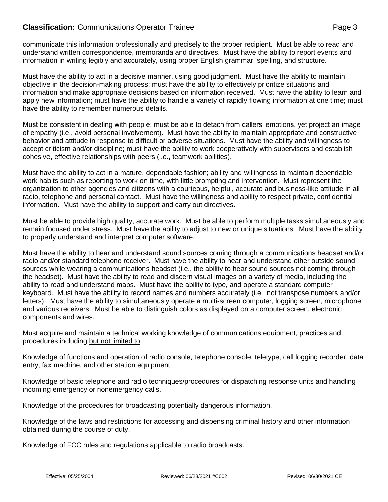# **Classification:** Communications Operator Trainee **Page 3** Page 3

communicate this information professionally and precisely to the proper recipient. Must be able to read and understand written correspondence, memoranda and directives. Must have the ability to report events and information in writing legibly and accurately, using proper English grammar, spelling, and structure.

Must have the ability to act in a decisive manner, using good judgment. Must have the ability to maintain objective in the decision-making process; must have the ability to effectively prioritize situations and information and make appropriate decisions based on information received. Must have the ability to learn and apply new information; must have the ability to handle a variety of rapidly flowing information at one time; must have the ability to remember numerous details.

Must be consistent in dealing with people; must be able to detach from callers' emotions, yet project an image of empathy (i.e., avoid personal involvement). Must have the ability to maintain appropriate and constructive behavior and attitude in response to difficult or adverse situations. Must have the ability and willingness to accept criticism and/or discipline; must have the ability to work cooperatively with supervisors and establish cohesive, effective relationships with peers (i.e., teamwork abilities).

Must have the ability to act in a mature, dependable fashion; ability and willingness to maintain dependable work habits such as reporting to work on time, with little prompting and intervention. Must represent the organization to other agencies and citizens with a courteous, helpful, accurate and business-like attitude in all radio, telephone and personal contact. Must have the willingness and ability to respect private, confidential information. Must have the ability to support and carry out directives.

Must be able to provide high quality, accurate work. Must be able to perform multiple tasks simultaneously and remain focused under stress. Must have the ability to adjust to new or unique situations. Must have the ability to properly understand and interpret computer software.

Must have the ability to hear and understand sound sources coming through a communications headset and/or radio and/or standard telephone receiver. Must have the ability to hear and understand other outside sound sources while wearing a communications headset (i.e., the ability to hear sound sources not coming through the headset). Must have the ability to read and discern visual images on a variety of media, including the ability to read and understand maps. Must have the ability to type, and operate a standard computer keyboard. Must have the ability to record names and numbers accurately (i.e., not transpose numbers and/or letters). Must have the ability to simultaneously operate a multi-screen computer, logging screen, microphone, and various receivers. Must be able to distinguish colors as displayed on a computer screen, electronic components and wires.

Must acquire and maintain a technical working knowledge of communications equipment, practices and procedures including but not limited to:

Knowledge of functions and operation of radio console, telephone console, teletype, call logging recorder, data entry, fax machine, and other station equipment.

Knowledge of basic telephone and radio techniques/procedures for dispatching response units and handling incoming emergency or nonemergency calls.

Knowledge of the procedures for broadcasting potentially dangerous information.

Knowledge of the laws and restrictions for accessing and dispensing criminal history and other information obtained during the course of duty.

Knowledge of FCC rules and regulations applicable to radio broadcasts.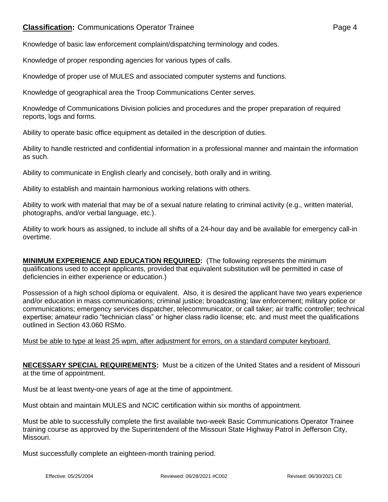# **Classification:** Communications Operator Trainee **Page 4** Page 4

Knowledge of basic law enforcement complaint/dispatching terminology and codes.

Knowledge of proper responding agencies for various types of calls.

Knowledge of proper use of MULES and associated computer systems and functions.

Knowledge of geographical area the Troop Communications Center serves.

Knowledge of Communications Division policies and procedures and the proper preparation of required reports, logs and forms.

Ability to operate basic office equipment as detailed in the description of duties.

Ability to handle restricted and confidential information in a professional manner and maintain the information as such.

Ability to communicate in English clearly and concisely, both orally and in writing.

Ability to establish and maintain harmonious working relations with others.

Ability to work with material that may be of a sexual nature relating to criminal activity (e.g., written material, photographs, and/or verbal language, etc.).

Ability to work hours as assigned, to include all shifts of a 24-hour day and be available for emergency call-in overtime.

**MINIMUM EXPERIENCE AND EDUCATION REQUIRED:** (The following represents the minimum qualifications used to accept applicants, provided that equivalent substitution will be permitted in case of deficiencies in either experience or education.)

Possession of a high school diploma or equivalent. Also, it is desired the applicant have two years experience and/or education in mass communications; criminal justice; broadcasting; law enforcement; military police or communications; emergency services dispatcher, telecommunicator, or call taker; air traffic controller; technical expertise; amateur radio "technician class" or higher class radio license; etc. and must meet the qualifications outlined in Section 43.060 RSMo.

#### Must be able to type at least 25 wpm, after adjustment for errors, on a standard computer keyboard.

**NECESSARY SPECIAL REQUIREMENTS:** Must be a citizen of the United States and a resident of Missouri at the time of appointment.

Must be at least twenty-one years of age at the time of appointment.

Must obtain and maintain MULES and NCIC certification within six months of appointment.

Must be able to successfully complete the first available two-week Basic Communications Operator Trainee training course as approved by the Superintendent of the Missouri State Highway Patrol in Jefferson City, Missouri.

Must successfully complete an eighteen-month training period.